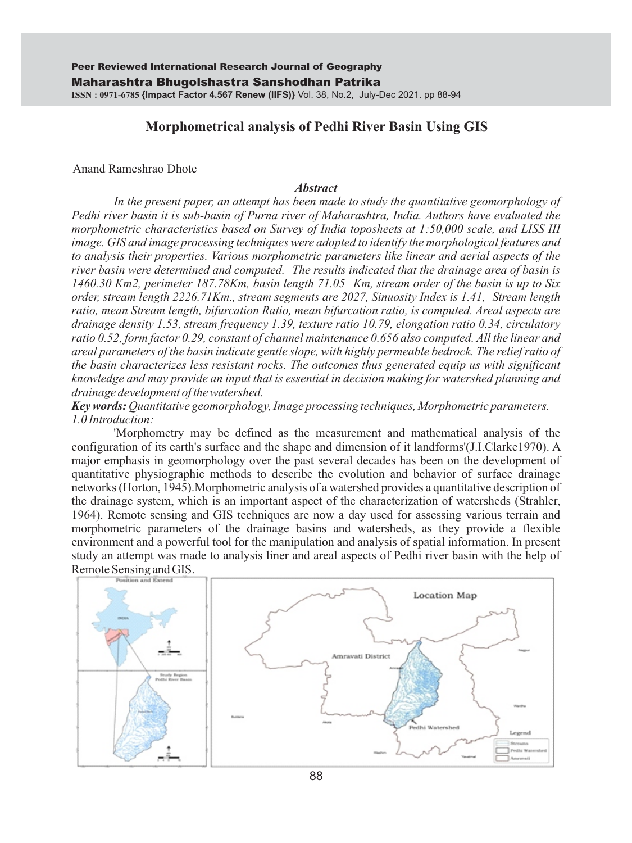# **Morphometrical analysis of Pedhi River Basin Using GIS**

#### Anand Rameshrao Dhote

#### *Abstract*

In the present paper, an attempt has been made to study the quantitative geomorphology of *Pedhi river basin it is sub-basin of Purna river of Maharashtra, India. Authors have evaluated the morphometric characteristics based on Survey of India toposheets at 1:50,000 scale, and LISS III image. GIS and image processing techniques were adopted to identify the morphological features and to analysis their properties. Various morphometric parameters like linear and aerial aspects of the river basin were determined and computed. The results indicated that the drainage area of basin is 1460.30 Km2, perimeter 187.78Km, basin length 71.05 Km, stream order of the basin is up to Six order, stream length 2226.71Km., stream segments are 2027, Sinuosity Index is 1.41, Stream length ratio, mean Stream length, bifurcation Ratio, mean bifurcation ratio, is computed. Areal aspects are drainage density 1.53, stream frequency 1.39, texture ratio 10.79, elongation ratio 0.34, circulatory ratio 0.52, form factor 0.29, constant of channel maintenance 0.656 also computed. All the linear and areal parameters of the basin indicate gentle slope, with highly permeable bedrock. The relief ratio of the basin characterizes less resistant rocks. The outcomes thus generated equip us with significant knowledge and may provide an input that is essential in decision making for watershed planning and drainage development of the watershed.*

*Key words: Quantitative geomorphology, Image processing techniques, Morphometric parameters. 1.0 Introduction:*

'Morphometry may be defined as the measurement and mathematical analysis of the configuration of its earth's surface and the shape and dimension of it landforms'(J.I.Clarke1970). A major emphasis in geomorphology over the past several decades has been on the development of quantitative physiographic methods to describe the evolution and behavior of surface drainage networks (Horton, 1945).Morphometric analysis of a watershed provides a quantitative description of the drainage system, which is an important aspect of the characterization of watersheds (Strahler, 1964). Remote sensing and GIS techniques are now a day used for assessing various terrain and morphometric parameters of the drainage basins and watersheds, as they provide a flexible environment and a powerful tool for the manipulation and analysis of spatial information. In present study an attempt was made to analysis liner and areal aspects of Pedhi river basin with the help of Remote Sensing and GIS.



88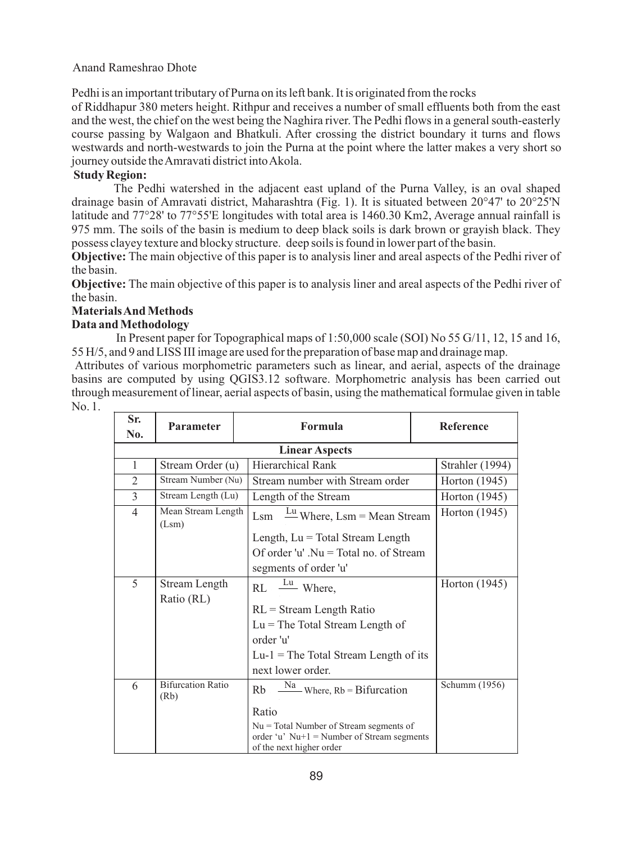Pedhi is an important tributary of Purna on its left bank. It is originated from the rocks

of Riddhapur 380 meters height. Rithpur and receives a number of small effluents both from the east and the west, the chief on the west being the Naghira river. The Pedhi flows in a general south-easterly course passing by Walgaon and Bhatkuli. After crossing the district boundary it turns and flows westwards and north-westwards to join the Purna at the point where the latter makes a very short so journey outside the Amravati district into Akola.

## **Study Region:**

The Pedhi watershed in the adjacent east upland of the Purna Valley, is an oval shaped drainage basin of Amravati district, Maharashtra (Fig. 1). It is situated between 20°47' to 20°25'N latitude and 77°28' to 77°55'E longitudes with total area is 1460.30 Km2, Average annual rainfall is 975 mm. The soils of the basin is medium to deep black soils is dark brown or grayish black. They possess clayey texture and blocky structure. deep soils is found in lower part of the basin.

**Objective:** The main objective of this paper is to analysis liner and areal aspects of the Pedhi river of the basin.

**Objective:** The main objective of this paper is to analysis liner and areal aspects of the Pedhi river of the basin.

# **Materials And Methods**

## **Data and Methodology**

In Present paper for Topographical maps of 1:50,000 scale (SOI) No 55 G/11, 12, 15 and 16, 55 H/5, and 9 and LISS III image are used for the preparation of base map and drainage map.

Attributes of various morphometric parameters such as linear, and aerial, aspects of the drainage basins are computed by using QGIS3.12 software. Morphometric analysis has been carried out through measurement of linear, aerial aspects of basin, using the mathematical formulae given in table No. 1.

| Sr.<br>No.               | <b>Parameter</b>                 | Formula                                                                  | <b>Reference</b> |
|--------------------------|----------------------------------|--------------------------------------------------------------------------|------------------|
|                          |                                  |                                                                          |                  |
| 1                        | Stream Order (u)                 | Hierarchical Rank                                                        | Strahler (1994)  |
| $\overline{2}$           | Stream Number (Nu)               | Stream number with Stream order                                          | Horton (1945)    |
| $\mathcal{E}$            | Stream Length (Lu)               | Length of the Stream                                                     | Horton (1945)    |
| $\overline{\mathcal{A}}$ | Mean Stream Length<br>(Lsm)      | $\frac{Lu}{v}$ Where, Lsm = Mean Stream<br>Lsm                           | Horton (1945)    |
|                          |                                  | Length, $Lu = Total Stream Length$                                       |                  |
|                          |                                  | Of order 'u' . $Nu = Total no$ . of Stream                               |                  |
|                          |                                  | segments of order 'u'                                                    |                  |
| 5                        | Stream Length                    | $RL \frac{Lu}{v}$ Where,                                                 | Horton (1945)    |
|                          | Ratio (RL)                       | $RL = Stream Length Ratio$                                               |                  |
|                          |                                  | $Lu =$ The Total Stream Length of                                        |                  |
|                          |                                  | order 'u'                                                                |                  |
|                          |                                  | $Lu-1$ = The Total Stream Length of its                                  |                  |
|                          |                                  | next lower order.                                                        |                  |
| 6                        | <b>Bifurcation Ratio</b><br>(Rb) | $\frac{Na}{m}$ Where, Rb = Bifurcation<br>Rb                             | Schumm (1956)    |
|                          |                                  | Ratio                                                                    |                  |
|                          |                                  | $Nu = Total Number of Stream segments of$                                |                  |
|                          |                                  | order 'u' $Nu+1 = Number of Stream segments$<br>of the next higher order |                  |
|                          |                                  |                                                                          |                  |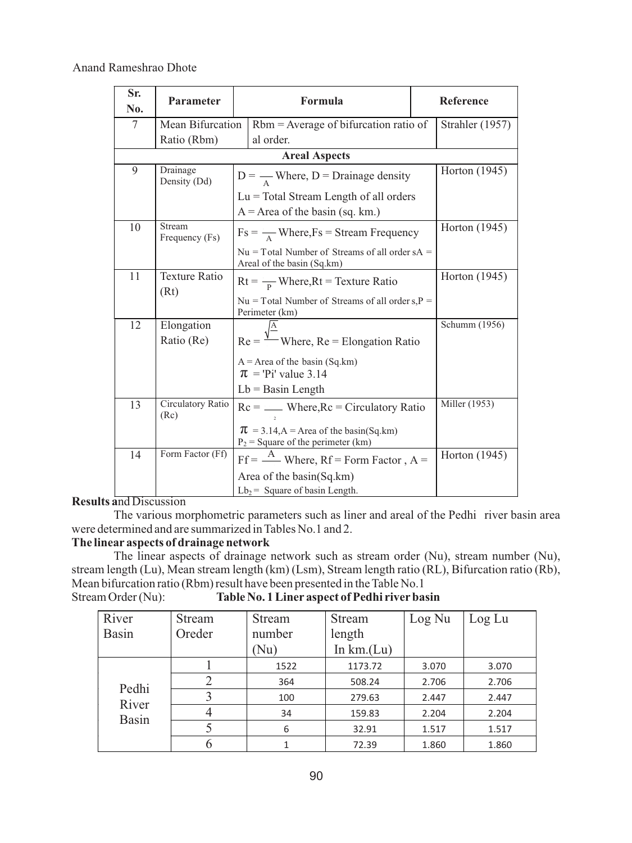| Sr.<br>No. | <b>Parameter</b>          | Formula                                                                            |               | Reference       |  |
|------------|---------------------------|------------------------------------------------------------------------------------|---------------|-----------------|--|
| 7          | Mean Bifurcation          | $Rbm = Average of bifurcation ratio of$                                            |               | Strahler (1957) |  |
|            | Ratio (Rbm)               | al order.                                                                          |               |                 |  |
|            | <b>Areal Aspects</b>      |                                                                                    |               |                 |  |
| 9          | Drainage<br>Density (Dd)  | $D = \frac{1}{A}$ Where, D = Drainage density                                      |               | Horton (1945)   |  |
|            |                           | $Lu = Total Stream Length of all orders$<br>$A = Area$ of the basin (sq. km.)      |               |                 |  |
| 10         | Stream<br>Frequency (Fs)  | $Fs = \frac{1}{A} Where.Fs = Stream Frequency$                                     |               | Horton (1945)   |  |
|            |                           | $Nu = Total$ Number of Streams of all order sA =<br>Areal of the basin (Sq.km)     |               |                 |  |
| 11         | <b>Texture Ratio</b>      | $Rt = \frac{v}{R}$ Where, Rt = Texture Ratio                                       | Horton (1945) |                 |  |
|            | (Rt)                      | $Nu = Total Number of Streams of all order s, P =$<br>Perimeter (km)               |               |                 |  |
| 12         | Elongation                |                                                                                    |               | Schumm (1956)   |  |
|            | Ratio (Re)                | $Re = \frac{\sqrt{2}}{2}$ Where, Re = Elongation Ratio                             |               |                 |  |
|            |                           | $A = Area$ of the basin (Sq.km)<br>$\pi$ = 'Pi' value 3.14                         |               |                 |  |
|            |                           | $Lb =$ Basin Length                                                                |               |                 |  |
| 13         | Circulatory Ratio<br>(Rc) | $Rc =$ Where, $Rc =$ Circulatory Ratio                                             |               | Miller (1953)   |  |
|            |                           | $\pi$ = 3.14, A = Area of the basin(Sq.km)<br>$P_2$ = Square of the perimeter (km) |               |                 |  |
| 14         | Form Factor (Ff)          | $Ff = \frac{A}{A}$ Where, Rf = Form Factor, A =                                    |               | Horton (1945)   |  |
|            |                           | Area of the basin(Sq.km)                                                           |               |                 |  |
|            |                           | $Lb_2$ = Square of basin Length.                                                   |               |                 |  |

### **Results a**nd Discussion

The various morphometric parameters such as liner and areal of the Pedhi river basin area were determined and are summarized in Tables No.1 and 2.

# **The linear aspects of drainage network**

The linear aspects of drainage network such as stream order (Nu), stream number (Nu), stream length (Lu), Mean stream length (km) (Lsm), Stream length ratio (RL), Bifurcation ratio (Rb), Mean bifurcation ratio (Rbm) result have been presented in the Table No.1<br>Stream Order (Nu): Table No.1 Liner aspect of Pedhi river base

Table No. 1 Liner aspect of Pedhi river basin

| River        | Stream | Stream | Stream      | Log Nu | Log Lu |
|--------------|--------|--------|-------------|--------|--------|
| <b>Basin</b> | Oreder | number | length      |        |        |
|              |        | Nu)    | In $km(Lu)$ |        |        |
|              |        | 1522   | 1173.72     | 3.070  | 3.070  |
| Pedhi        |        | 364    | 508.24      | 2.706  | 2.706  |
| River        |        | 100    | 279.63      | 2.447  | 2.447  |
| <b>Basin</b> |        | 34     | 159.83      | 2.204  | 2.204  |
|              |        | 6      | 32.91       | 1.517  | 1.517  |
|              |        |        | 72.39       | 1.860  | 1.860  |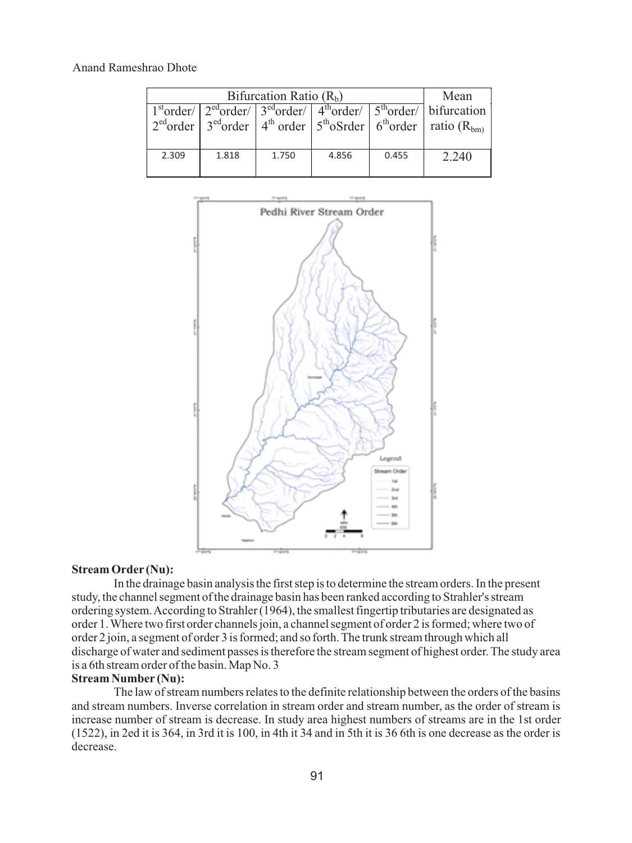| Bifurcation Ratio $(Rb)$ |       |       |       |       | Mean                                                                                                                                                                                                                                |
|--------------------------|-------|-------|-------|-------|-------------------------------------------------------------------------------------------------------------------------------------------------------------------------------------------------------------------------------------|
|                          |       |       |       |       | $1storder/  2edorder/  3edorder/  4thorder/  5thorder/  bifurcation  1storder/  1storder/  1storder/  1storder/  1storder/  1storder/  1storder/  1storder/  1storder/  1storder/  1storder/  1storder/  1storder/  1storder/  1st$ |
|                          |       |       |       |       | $2^{\text{ed}}$ order $3^{\text{ed}}$ order $4^{\text{th}}$ order $5^{\text{th}}$ oSrder $6^{\text{th}}$ order ratio (R <sub>bm)</sub>                                                                                              |
|                          |       |       |       |       |                                                                                                                                                                                                                                     |
| 2.309                    | 1.818 | 1.750 | 4.856 | 0.455 | 2.240                                                                                                                                                                                                                               |
|                          |       |       |       |       |                                                                                                                                                                                                                                     |



#### **Stream Order (Nu):**

In the drainage basin analysis the first step is to determine the stream orders. In the present study, the channel segment of the drainage basin has been ranked according to Strahler's stream ordering system. According to Strahler (1964), the smallest fingertip tributaries are designated as order 1. Where two first order channels join, a channel segment of order 2 is formed; where two of order 2 join, a segment of order 3 is formed; and so forth. The trunk stream through which all discharge of water and sediment passes is therefore the stream segment of highest order. The study area is a 6th stream order of the basin. Map No. 3

#### **Stream Number (Nu):**

The law of stream numbers relates to the definite relationship between the orders of the basins and stream numbers. Inverse correlation in stream order and stream number, as the order of stream is increase number of stream is decrease. In study area highest numbers of streams are in the 1st order (1522), in 2ed it is 364, in 3rd it is 100, in 4th it 34 and in 5th it is 36 6th is one decrease as the order is decrease.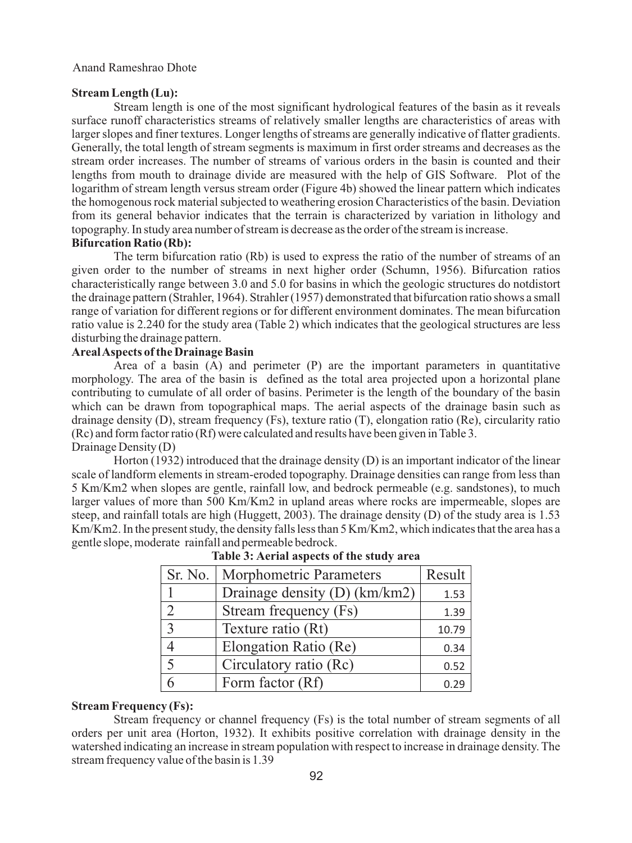#### **Stream Length (Lu):**

Stream length is one of the most significant hydrological features of the basin as it reveals surface runoff characteristics streams of relatively smaller lengths are characteristics of areas with larger slopes and finer textures. Longer lengths of streams are generally indicative of flatter gradients. Generally, the total length of stream segments is maximum in first order streams and decreases as the stream order increases. The number of streams of various orders in the basin is counted and their lengths from mouth to drainage divide are measured with the help of GIS Software. Plot of the logarithm of stream length versus stream order (Figure 4b) showed the linear pattern which indicates the homogenous rock material subjected to weathering erosion Characteristics of the basin. Deviation from its general behavior indicates that the terrain is characterized by variation in lithology and topography. In study area number of stream is decrease as the order of the stream is increase.

## **Bifurcation Ratio (Rb):**

The term bifurcation ratio (Rb) is used to express the ratio of the number of streams of an given order to the number of streams in next higher order (Schumn, 1956). Bifurcation ratios characteristically range between 3.0 and 5.0 for basins in which the geologic structures do notdistort the drainage pattern (Strahler, 1964). Strahler (1957) demonstrated that bifurcation ratio shows a small range of variation for different regions or for different environment dominates. The mean bifurcation ratio value is 2.240 for the study area (Table 2) which indicates that the geological structures are less disturbing the drainage pattern.

### **Areal Aspects of the Drainage Basin**

Area of a basin (A) and perimeter (P) are the important parameters in quantitative morphology. The area of the basin is defined as the total area projected upon a horizontal plane contributing to cumulate of all order of basins. Perimeter is the length of the boundary of the basin which can be drawn from topographical maps. The aerial aspects of the drainage basin such as drainage density (D), stream frequency (Fs), texture ratio (T), elongation ratio (Re), circularity ratio (Rc) and form factor ratio (Rf) were calculated and results have been given in Table 3. Drainage Density (D)

Horton (1932) introduced that the drainage density (D) is an important indicator of the linear scale of landform elements in stream-eroded topography. Drainage densities can range from less than 5 Km/Km2 when slopes are gentle, rainfall low, and bedrock permeable (e.g. sandstones), to much larger values of more than 500 Km/Km2 in upland areas where rocks are impermeable, slopes are steep, and rainfall totals are high (Huggett, 2003). The drainage density (D) of the study area is 1.53 Km/Km2. In the present study, the density falls less than 5 Km/Km2, which indicates that the area has a gentle slope, moderate rainfall and permeable bedrock.

| Sr. No.        | <b>Morphometric Parameters</b> | Result |
|----------------|--------------------------------|--------|
|                | Drainage density (D) (km/km2)  | 1.53   |
| 2              | Stream frequency (Fs)          | 1.39   |
| $\overline{3}$ | Texture ratio (Rt)             | 10.79  |
|                | Elongation Ratio (Re)          | 0.34   |
| $\overline{5}$ | Circulatory ratio (Rc)         | 0.52   |
|                | Form factor (Rf)               | 0.29   |

## **Table 3: Aerial aspects of the study area**

#### **Stream Frequency (Fs):**

Stream frequency or channel frequency (Fs) is the total number of stream segments of all orders per unit area (Horton, 1932). It exhibits positive correlation with drainage density in the watershed indicating an increase in stream population with respect to increase in drainage density. The stream frequency value of the basin is 1.39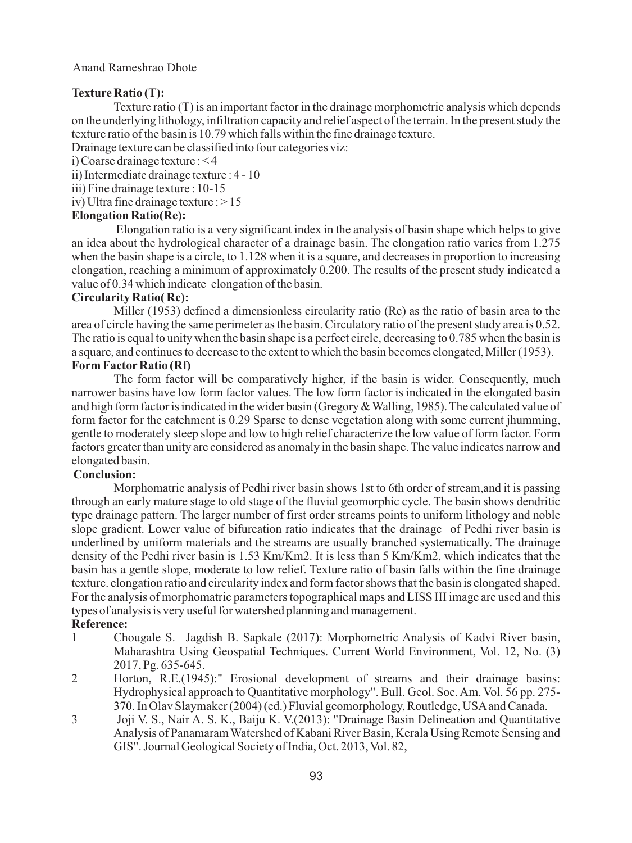### **Texture Ratio (T):**

Texture ratio (T) is an important factor in the drainage morphometric analysis which depends on the underlying lithology, infiltration capacity and relief aspect of the terrain. In the present study the texture ratio of the basin is 10.79 which falls within the fine drainage texture.

Drainage texture can be classified into four categories viz:

i) Coarse drainage texture : < 4

ii) Intermediate drainage texture : 4 - 10

iii) Fine drainage texture : 10-15

iv) Ultra fine drainage texture :  $> 15$ 

## **Elongation Ratio(Re):**

Elongation ratio is a very significant index in the analysis of basin shape which helps to give an idea about the hydrological character of a drainage basin. The elongation ratio varies from 1.275 when the basin shape is a circle, to 1.128 when it is a square, and decreases in proportion to increasing elongation, reaching a minimum of approximately 0.200. The results of the present study indicated a value of 0.34 which indicate elongation of the basin.

### **Circularity Ratio( Rc):**

Miller (1953) defined a dimensionless circularity ratio (Rc) as the ratio of basin area to the area of circle having the same perimeter as the basin. Circulatory ratio of the present study area is 0.52. The ratio is equal to unity when the basin shape is a perfect circle, decreasing to 0.785 when the basin is a square, and continues to decrease to the extent to which the basin becomes elongated, Miller (1953).

## **Form Factor Ratio (Rf)**

The form factor will be comparatively higher, if the basin is wider. Consequently, much narrower basins have low form factor values. The low form factor is indicated in the elongated basin and high form factor is indicated in the wider basin (Gregory & Walling, 1985). The calculated value of form factor for the catchment is 0.29 Sparse to dense vegetation along with some current jhumming, gentle to moderately steep slope and low to high relief characterize the low value of form factor. Form factors greater than unity are considered as anomaly in the basin shape. The value indicates narrow and elongated basin.

## **Conclusion:**

Morphomatric analysis of Pedhi river basin shows 1st to 6th order of stream,and it is passing through an early mature stage to old stage of the fluvial geomorphic cycle. The basin shows dendritic type drainage pattern. The larger number of first order streams points to uniform lithology and noble slope gradient. Lower value of bifurcation ratio indicates that the drainage of Pedhi river basin is underlined by uniform materials and the streams are usually branched systematically. The drainage density of the Pedhi river basin is 1.53 Km/Km2. It is less than 5 Km/Km2, which indicates that the basin has a gentle slope, moderate to low relief. Texture ratio of basin falls within the fine drainage texture. elongation ratio and circularity index and form factor shows that the basin is elongated shaped. For the analysis of morphomatric parameters topographical maps and LISS III image are used and this types of analysis is very useful for watershed planning and management.

## **Reference:**

- 1 Chougale S. Jagdish B. Sapkale (2017): Morphometric Analysis of Kadvi River basin, Maharashtra Using Geospatial Techniques. Current World Environment, Vol. 12, No. (3) 2017, Pg. 635-645.
- 2 Horton, R.E.(1945):" Erosional development of streams and their drainage basins: Hydrophysical approach to Quantitative morphology". Bull. Geol. Soc. Am. Vol. 56 pp. 275- 370. In Olav Slaymaker (2004) (ed.) Fluvial geomorphology, Routledge, USAand Canada.
- 3 Joji V. S., Nair A. S. K., Baiju K. V.(2013): "Drainage Basin Delineation and Quantitative Analysis of Panamaram Watershed of Kabani River Basin, Kerala Using Remote Sensing and GIS". Journal Geological Society of India, Oct. 2013, Vol. 82,